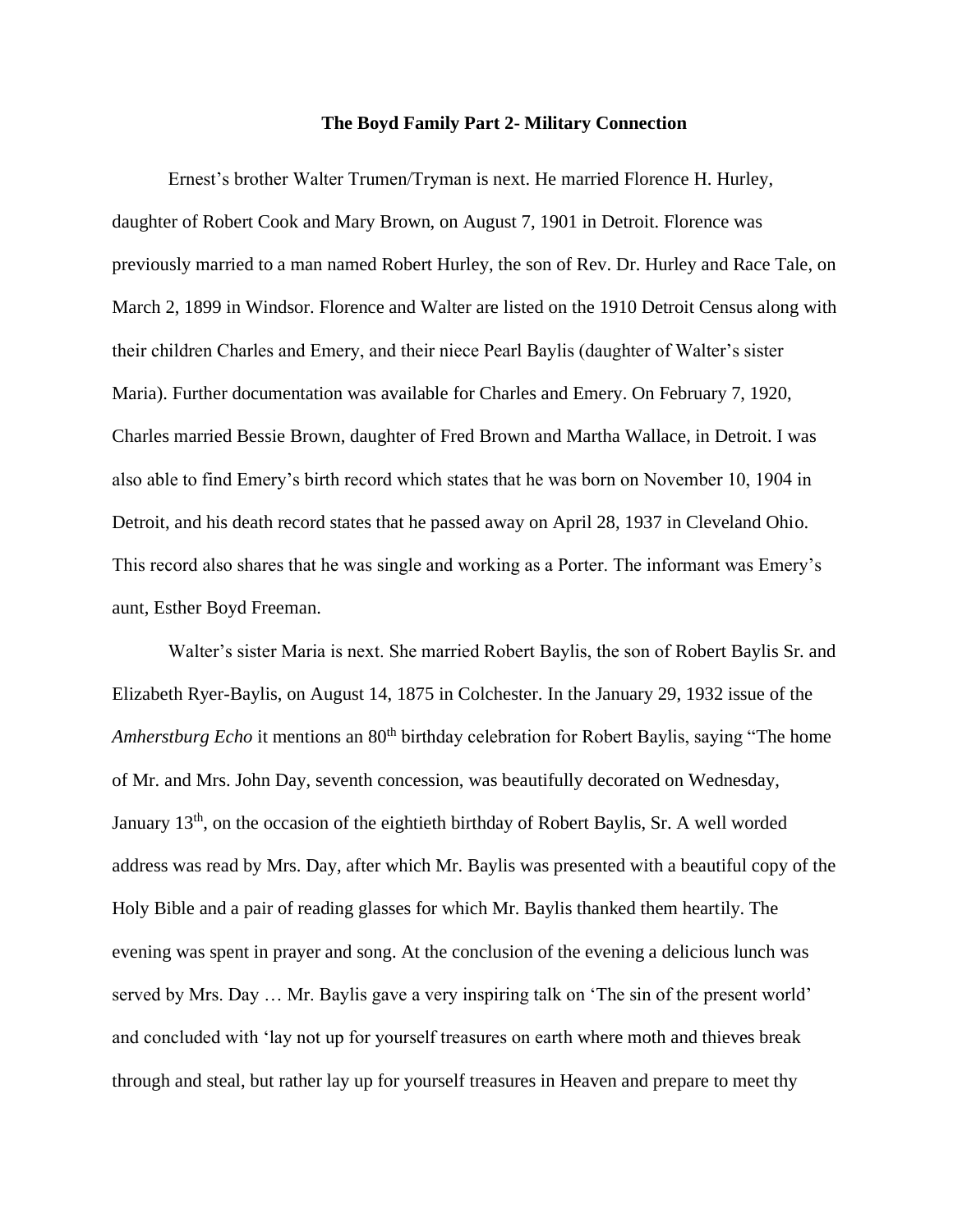## **The Boyd Family Part 2- Military Connection**

Ernest's brother Walter Trumen/Tryman is next. He married Florence H. Hurley, daughter of Robert Cook and Mary Brown, on August 7, 1901 in Detroit. Florence was previously married to a man named Robert Hurley, the son of Rev. Dr. Hurley and Race Tale, on March 2, 1899 in Windsor. Florence and Walter are listed on the 1910 Detroit Census along with their children Charles and Emery, and their niece Pearl Baylis (daughter of Walter's sister Maria). Further documentation was available for Charles and Emery. On February 7, 1920, Charles married Bessie Brown, daughter of Fred Brown and Martha Wallace, in Detroit. I was also able to find Emery's birth record which states that he was born on November 10, 1904 in Detroit, and his death record states that he passed away on April 28, 1937 in Cleveland Ohio. This record also shares that he was single and working as a Porter. The informant was Emery's aunt, Esther Boyd Freeman.

Walter's sister Maria is next. She married Robert Baylis, the son of Robert Baylis Sr. and Elizabeth Ryer-Baylis, on August 14, 1875 in Colchester. In the January 29, 1932 issue of the *Amherstburg Echo* it mentions an 80<sup>th</sup> birthday celebration for Robert Baylis, saying "The home of Mr. and Mrs. John Day, seventh concession, was beautifully decorated on Wednesday, January 13<sup>th</sup>, on the occasion of the eightieth birthday of Robert Baylis, Sr. A well worded address was read by Mrs. Day, after which Mr. Baylis was presented with a beautiful copy of the Holy Bible and a pair of reading glasses for which Mr. Baylis thanked them heartily. The evening was spent in prayer and song. At the conclusion of the evening a delicious lunch was served by Mrs. Day … Mr. Baylis gave a very inspiring talk on 'The sin of the present world' and concluded with 'lay not up for yourself treasures on earth where moth and thieves break through and steal, but rather lay up for yourself treasures in Heaven and prepare to meet thy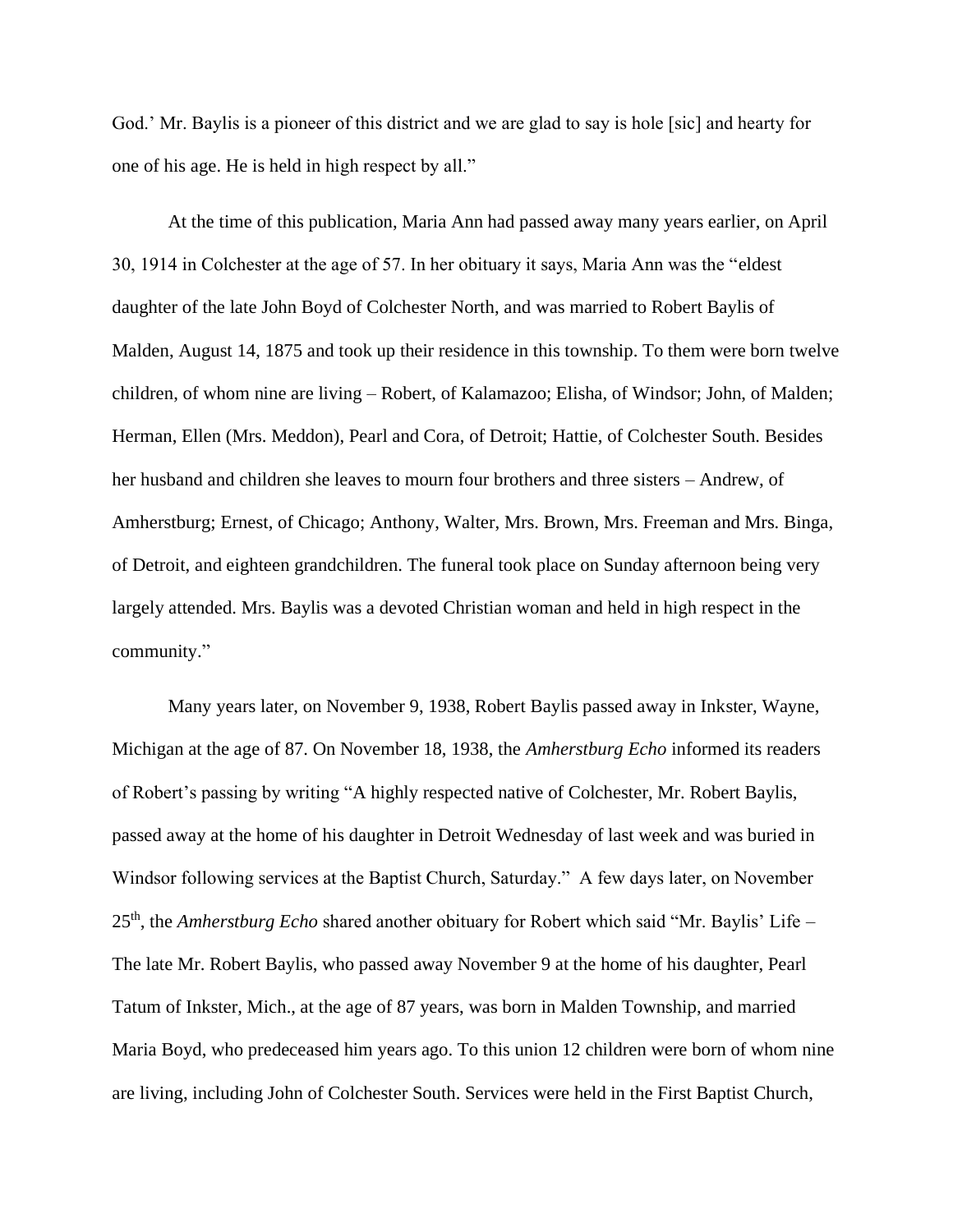God.' Mr. Baylis is a pioneer of this district and we are glad to say is hole [sic] and hearty for one of his age. He is held in high respect by all."

At the time of this publication, Maria Ann had passed away many years earlier, on April 30, 1914 in Colchester at the age of 57. In her obituary it says, Maria Ann was the "eldest daughter of the late John Boyd of Colchester North, and was married to Robert Baylis of Malden, August 14, 1875 and took up their residence in this township. To them were born twelve children, of whom nine are living – Robert, of Kalamazoo; Elisha, of Windsor; John, of Malden; Herman, Ellen (Mrs. Meddon), Pearl and Cora, of Detroit; Hattie, of Colchester South. Besides her husband and children she leaves to mourn four brothers and three sisters – Andrew, of Amherstburg; Ernest, of Chicago; Anthony, Walter, Mrs. Brown, Mrs. Freeman and Mrs. Binga, of Detroit, and eighteen grandchildren. The funeral took place on Sunday afternoon being very largely attended. Mrs. Baylis was a devoted Christian woman and held in high respect in the community."

Many years later, on November 9, 1938, Robert Baylis passed away in Inkster, Wayne, Michigan at the age of 87. On November 18, 1938, the *Amherstburg Echo* informed its readers of Robert's passing by writing "A highly respected native of Colchester, Mr. Robert Baylis, passed away at the home of his daughter in Detroit Wednesday of last week and was buried in Windsor following services at the Baptist Church, Saturday." A few days later, on November 25<sup>th</sup>, the *Amherstburg Echo* shared another obituary for Robert which said "Mr. Baylis' Life – The late Mr. Robert Baylis, who passed away November 9 at the home of his daughter, Pearl Tatum of Inkster, Mich., at the age of 87 years, was born in Malden Township, and married Maria Boyd, who predeceased him years ago. To this union 12 children were born of whom nine are living, including John of Colchester South. Services were held in the First Baptist Church,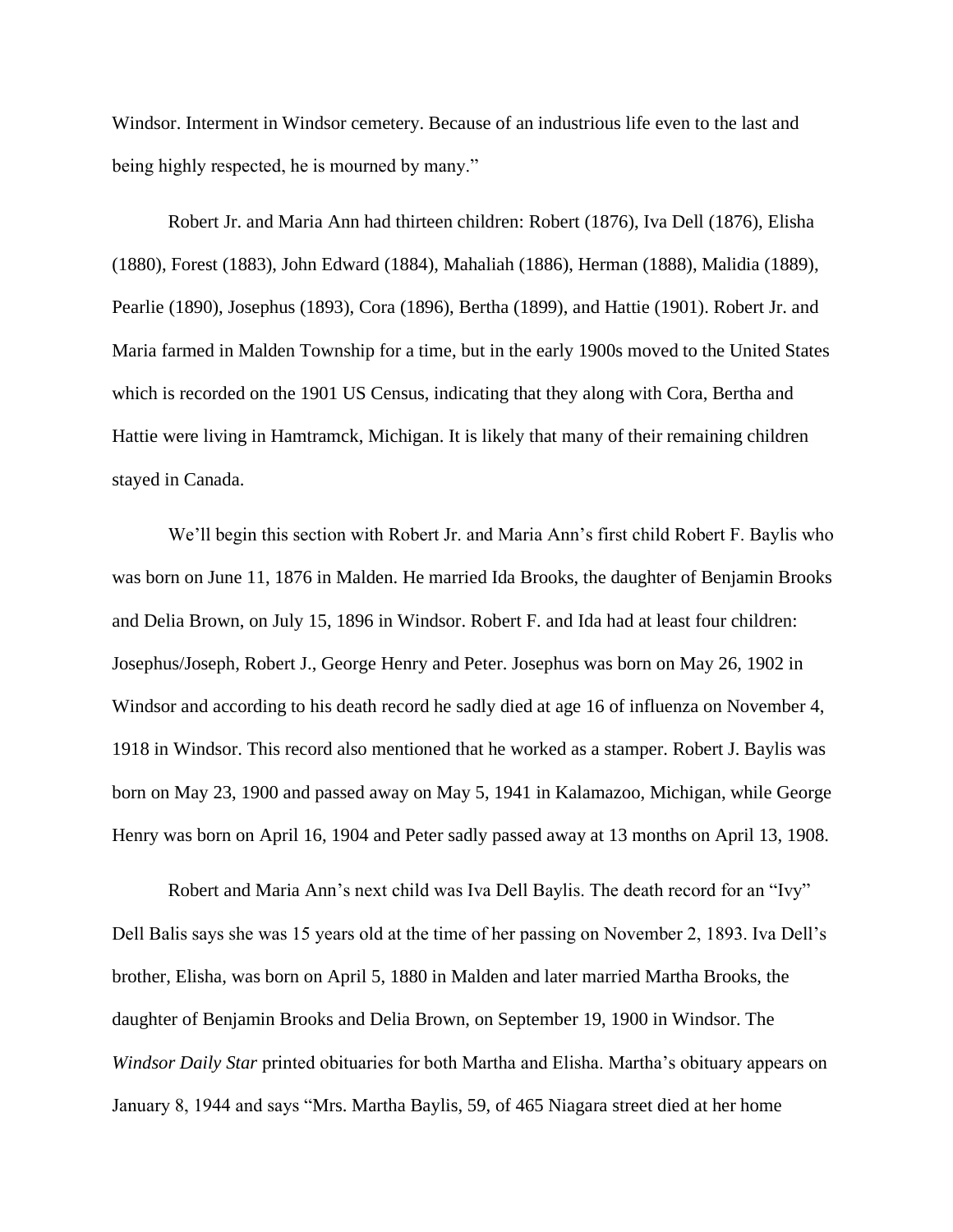Windsor. Interment in Windsor cemetery. Because of an industrious life even to the last and being highly respected, he is mourned by many."

Robert Jr. and Maria Ann had thirteen children: Robert (1876), Iva Dell (1876), Elisha (1880), Forest (1883), John Edward (1884), Mahaliah (1886), Herman (1888), Malidia (1889), Pearlie (1890), Josephus (1893), Cora (1896), Bertha (1899), and Hattie (1901). Robert Jr. and Maria farmed in Malden Township for a time, but in the early 1900s moved to the United States which is recorded on the 1901 US Census, indicating that they along with Cora, Bertha and Hattie were living in Hamtramck, Michigan. It is likely that many of their remaining children stayed in Canada.

We'll begin this section with Robert Jr. and Maria Ann's first child Robert F. Baylis who was born on June 11, 1876 in Malden. He married Ida Brooks, the daughter of Benjamin Brooks and Delia Brown, on July 15, 1896 in Windsor. Robert F. and Ida had at least four children: Josephus/Joseph, Robert J., George Henry and Peter. Josephus was born on May 26, 1902 in Windsor and according to his death record he sadly died at age 16 of influenza on November 4, 1918 in Windsor. This record also mentioned that he worked as a stamper. Robert J. Baylis was born on May 23, 1900 and passed away on May 5, 1941 in Kalamazoo, Michigan, while George Henry was born on April 16, 1904 and Peter sadly passed away at 13 months on April 13, 1908.

Robert and Maria Ann's next child was Iva Dell Baylis. The death record for an "Ivy" Dell Balis says she was 15 years old at the time of her passing on November 2, 1893. Iva Dell's brother, Elisha, was born on April 5, 1880 in Malden and later married Martha Brooks, the daughter of Benjamin Brooks and Delia Brown, on September 19, 1900 in Windsor. The *Windsor Daily Star* printed obituaries for both Martha and Elisha. Martha's obituary appears on January 8, 1944 and says "Mrs. Martha Baylis, 59, of 465 Niagara street died at her home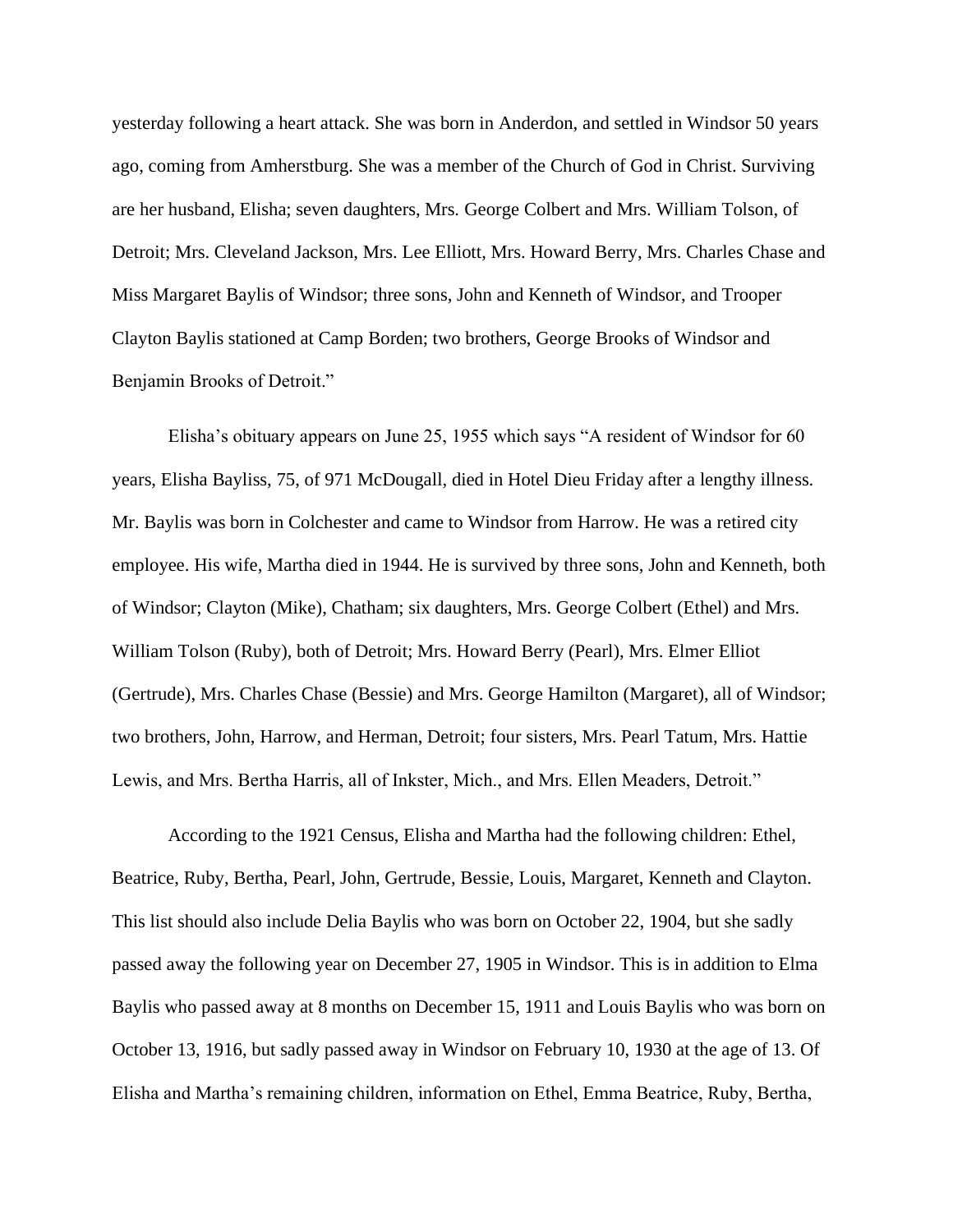yesterday following a heart attack. She was born in Anderdon, and settled in Windsor 50 years ago, coming from Amherstburg. She was a member of the Church of God in Christ. Surviving are her husband, Elisha; seven daughters, Mrs. George Colbert and Mrs. William Tolson, of Detroit; Mrs. Cleveland Jackson, Mrs. Lee Elliott, Mrs. Howard Berry, Mrs. Charles Chase and Miss Margaret Baylis of Windsor; three sons, John and Kenneth of Windsor, and Trooper Clayton Baylis stationed at Camp Borden; two brothers, George Brooks of Windsor and Benjamin Brooks of Detroit."

Elisha's obituary appears on June 25, 1955 which says "A resident of Windsor for 60 years, Elisha Bayliss, 75, of 971 McDougall, died in Hotel Dieu Friday after a lengthy illness. Mr. Baylis was born in Colchester and came to Windsor from Harrow. He was a retired city employee. His wife, Martha died in 1944. He is survived by three sons, John and Kenneth, both of Windsor; Clayton (Mike), Chatham; six daughters, Mrs. George Colbert (Ethel) and Mrs. William Tolson (Ruby), both of Detroit; Mrs. Howard Berry (Pearl), Mrs. Elmer Elliot (Gertrude), Mrs. Charles Chase (Bessie) and Mrs. George Hamilton (Margaret), all of Windsor; two brothers, John, Harrow, and Herman, Detroit; four sisters, Mrs. Pearl Tatum, Mrs. Hattie Lewis, and Mrs. Bertha Harris, all of Inkster, Mich., and Mrs. Ellen Meaders, Detroit."

According to the 1921 Census, Elisha and Martha had the following children: Ethel, Beatrice, Ruby, Bertha, Pearl, John, Gertrude, Bessie, Louis, Margaret, Kenneth and Clayton. This list should also include Delia Baylis who was born on October 22, 1904, but she sadly passed away the following year on December 27, 1905 in Windsor. This is in addition to Elma Baylis who passed away at 8 months on December 15, 1911 and Louis Baylis who was born on October 13, 1916, but sadly passed away in Windsor on February 10, 1930 at the age of 13. Of Elisha and Martha's remaining children, information on Ethel, Emma Beatrice, Ruby, Bertha,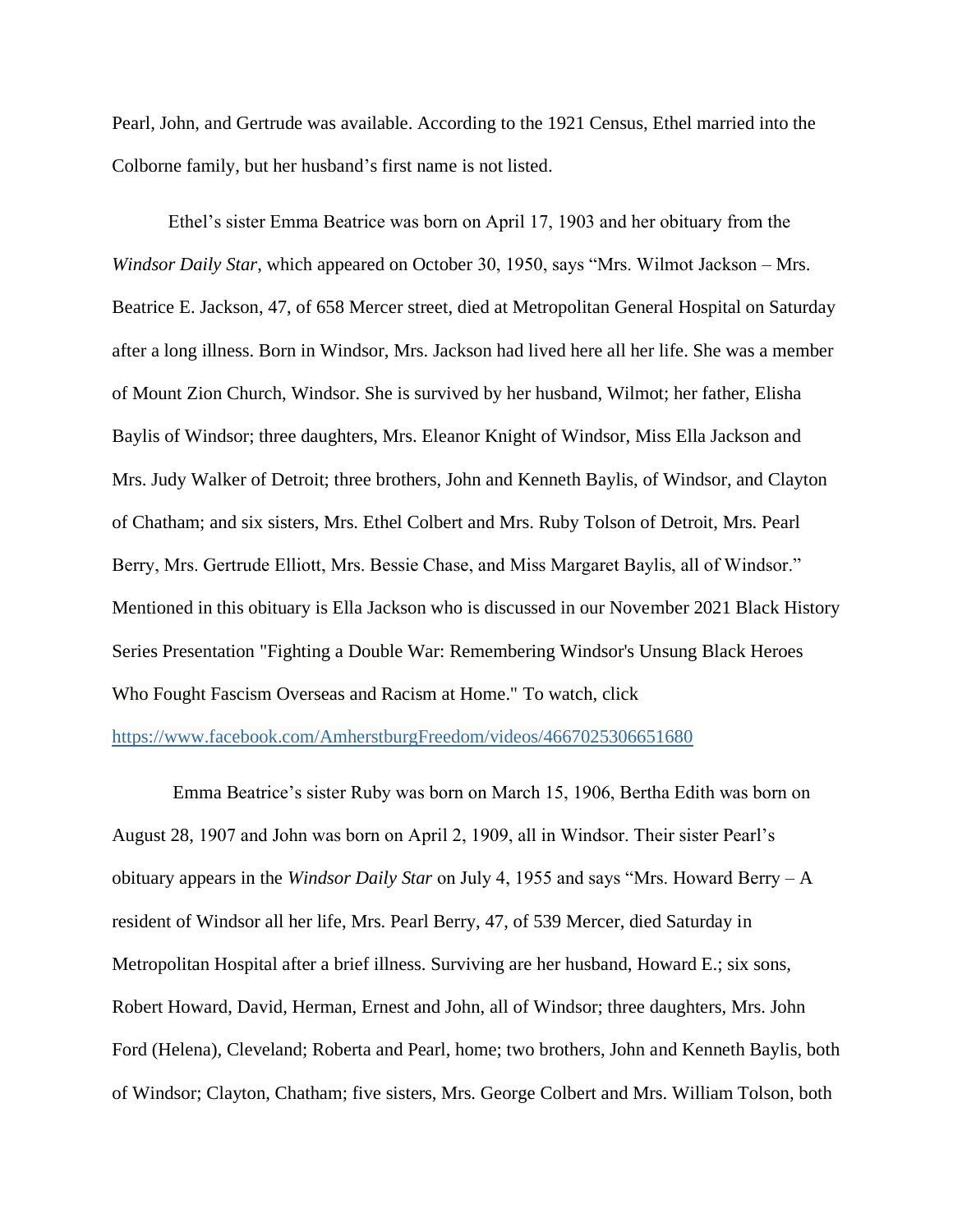Pearl, John, and Gertrude was available. According to the 1921 Census, Ethel married into the Colborne family, but her husband's first name is not listed.

Ethel's sister Emma Beatrice was born on April 17, 1903 and her obituary from the *Windsor Daily Star*, which appeared on October 30, 1950, says "Mrs. Wilmot Jackson – Mrs. Beatrice E. Jackson, 47, of 658 Mercer street, died at Metropolitan General Hospital on Saturday after a long illness. Born in Windsor, Mrs. Jackson had lived here all her life. She was a member of Mount Zion Church, Windsor. She is survived by her husband, Wilmot; her father, Elisha Baylis of Windsor; three daughters, Mrs. Eleanor Knight of Windsor, Miss Ella Jackson and Mrs. Judy Walker of Detroit; three brothers, John and Kenneth Baylis, of Windsor, and Clayton of Chatham; and six sisters, Mrs. Ethel Colbert and Mrs. Ruby Tolson of Detroit, Mrs. Pearl Berry, Mrs. Gertrude Elliott, Mrs. Bessie Chase, and Miss Margaret Baylis, all of Windsor." Mentioned in this obituary is Ella Jackson who is discussed in our November 2021 Black History Series Presentation "Fighting a Double War: Remembering Windsor's Unsung Black Heroes Who Fought Fascism Overseas and Racism at Home." To watch, click

## <https://www.facebook.com/AmherstburgFreedom/videos/4667025306651680>

Emma Beatrice's sister Ruby was born on March 15, 1906, Bertha Edith was born on August 28, 1907 and John was born on April 2, 1909, all in Windsor. Their sister Pearl's obituary appears in the *Windsor Daily Star* on July 4, 1955 and says "Mrs. Howard Berry – A resident of Windsor all her life, Mrs. Pearl Berry, 47, of 539 Mercer, died Saturday in Metropolitan Hospital after a brief illness. Surviving are her husband, Howard E.; six sons, Robert Howard, David, Herman, Ernest and John, all of Windsor; three daughters, Mrs. John Ford (Helena), Cleveland; Roberta and Pearl, home; two brothers, John and Kenneth Baylis, both of Windsor; Clayton, Chatham; five sisters, Mrs. George Colbert and Mrs. William Tolson, both